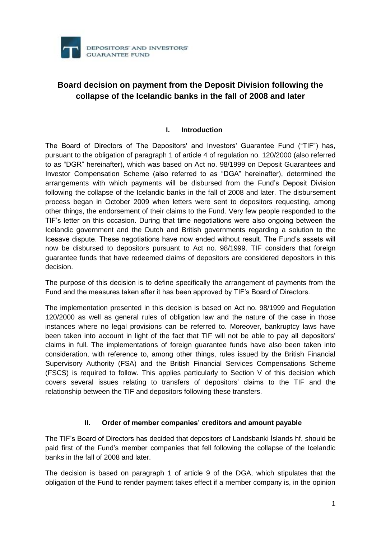

# **Board decision on payment from the Deposit Division following the collapse of the Icelandic banks in the fall of 2008 and later**

## **I. Introduction**

The Board of Directors of The Depositors' and Investors' Guarantee Fund ("TIF") has, pursuant to the obligation of paragraph 1 of article 4 of regulation no. 120/2000 (also referred to as "DGR" hereinafter), which was based on Act no. 98/1999 on Deposit Guarantees and Investor Compensation Scheme (also referred to as "DGA" hereinafter), determined the arrangements with which payments will be disbursed from the Fund's Deposit Division following the collapse of the Icelandic banks in the fall of 2008 and later. The disbursement process began in October 2009 when letters were sent to depositors requesting, among other things, the endorsement of their claims to the Fund. Very few people responded to the TIF's letter on this occasion. During that time negotiations were also ongoing between the Icelandic government and the Dutch and British governments regarding a solution to the Icesave dispute. These negotiations have now ended without result. The Fund's assets will now be disbursed to depositors pursuant to Act no. 98/1999. TIF considers that foreign guarantee funds that have redeemed claims of depositors are considered depositors in this decision.

The purpose of this decision is to define specifically the arrangement of payments from the Fund and the measures taken after it has been approved by TIF's Board of Directors.

The implementation presented in this decision is based on Act no. 98/1999 and Regulation 120/2000 as well as general rules of obligation law and the nature of the case in those instances where no legal provisions can be referred to. Moreover, bankruptcy laws have been taken into account in light of the fact that TIF will not be able to pay all depositors' claims in full. The implementations of foreign guarantee funds have also been taken into consideration, with reference to, among other things, rules issued by the British Financial Supervisory Authority (FSA) and the British Financial Services Compensations Scheme (FSCS) is required to follow. This applies particularly to Section V of this decision which covers several issues relating to transfers of depositors' claims to the TIF and the relationship between the TIF and depositors following these transfers.

#### **II. Order of member companies' creditors and amount payable**

The TIF's Board of Directors has decided that depositors of Landsbanki Íslands hf. should be paid first of the Fund's member companies that fell following the collapse of the Icelandic banks in the fall of 2008 and later.

The decision is based on paragraph 1 of article 9 of the DGA, which stipulates that the obligation of the Fund to render payment takes effect if a member company is, in the opinion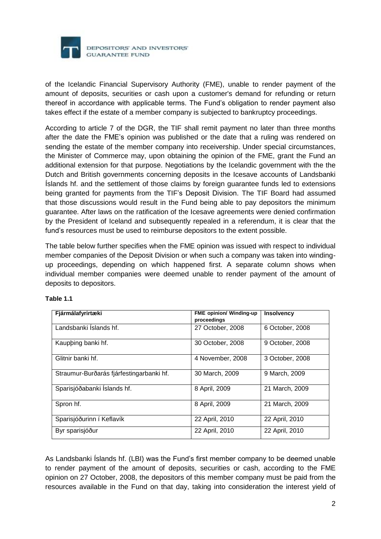

of the Icelandic Financial Supervisory Authority (FME), unable to render payment of the amount of deposits, securities or cash upon a customer's demand for refunding or return thereof in accordance with applicable terms. The Fund's obligation to render payment also takes effect if the estate of a member company is subjected to bankruptcy proceedings.

According to article 7 of the DGR, the TIF shall remit payment no later than three months after the date the FME's opinion was published or the date that a ruling was rendered on sending the estate of the member company into receivership. Under special circumstances, the Minister of Commerce may, upon obtaining the opinion of the FME, grant the Fund an additional extension for that purpose. Negotiations by the Icelandic government with the the Dutch and British governments concerning deposits in the Icesave accounts of Landsbanki Íslands hf. and the settlement of those claims by foreign guarantee funds led to extensions being granted for payments from the TIF's Deposit Division. The TIF Board had assumed that those discussions would result in the Fund being able to pay depositors the minimum guarantee. After laws on the ratification of the Icesave agreements were denied confirmation by the President of Iceland and subsequently repealed in a referendum, it is clear that the fund's resources must be used to reimburse depositors to the extent possible.

The table below further specifies when the FME opinion was issued with respect to individual member companies of the Deposit Division or when such a company was taken into windingup proceedings, depending on which happened first. A separate column shows when individual member companies were deemed unable to render payment of the amount of deposits to depositors.

| Fjármálafyrirtæki                        | <b>FME opinion/ Winding-up</b> | <b>Insolvency</b> |
|------------------------------------------|--------------------------------|-------------------|
|                                          | proceedings                    |                   |
| Landsbanki Islands hf.                   | 27 October, 2008               | 6 October, 2008   |
| Kaupping banki hf.                       | 30 October, 2008               | 9 October, 2008   |
| Glitnir banki hf.                        | 4 November, 2008               | 3 October, 2008   |
| Straumur-Burðarás fjárfestingarbanki hf. | 30 March, 2009                 | 9 March, 2009     |
| Sparisjóðabanki Íslands hf.              | 8 April, 2009                  | 21 March, 2009    |
| Spron hf.                                | 8 April, 2009                  | 21 March, 2009    |
| Sparisjóðurinn í Keflavík                | 22 April, 2010                 | 22 April, 2010    |
| Byr sparisjóður                          | 22 April, 2010                 | 22 April, 2010    |

#### **Table 1.1**

As Landsbanki Íslands hf. (LBI) was the Fund's first member company to be deemed unable to render payment of the amount of deposits, securities or cash, according to the FME opinion on 27 October, 2008, the depositors of this member company must be paid from the resources available in the Fund on that day, taking into consideration the interest yield of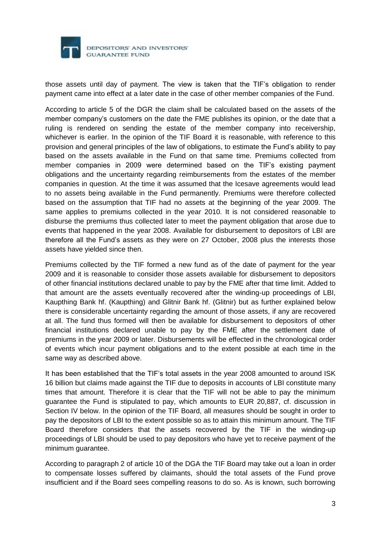

those assets until day of payment. The view is taken that the TIF's obligation to render payment came into effect at a later date in the case of other member companies of the Fund.

According to article 5 of the DGR the claim shall be calculated based on the assets of the member company's customers on the date the FME publishes its opinion, or the date that a ruling is rendered on sending the estate of the member company into receivership, whichever is earlier. In the opinion of the TIF Board it is reasonable, with reference to this provision and general principles of the law of obligations, to estimate the Fund's ability to pay based on the assets available in the Fund on that same time. Premiums collected from member companies in 2009 were determined based on the TIF's existing payment obligations and the uncertainty regarding reimbursements from the estates of the member companies in question. At the time it was assumed that the Icesave agreements would lead to no assets being available in the Fund permanently. Premiums were therefore collected based on the assumption that TIF had no assets at the beginning of the year 2009. The same applies to premiums collected in the year 2010. It is not considered reasonable to disburse the premiums thus collected later to meet the payment obligation that arose due to events that happened in the year 2008. Available for disbursement to depositors of LBI are therefore all the Fund's assets as they were on 27 October, 2008 plus the interests those assets have yielded since then.

Premiums collected by the TIF formed a new fund as of the date of payment for the year 2009 and it is reasonable to consider those assets available for disbursement to depositors of other financial institutions declared unable to pay by the FME after that time limit. Added to that amount are the assets eventually recovered after the winding-up proceedings of LBI, Kaupthing Bank hf. (Kaupthing) and Glitnir Bank hf. (Glitnir) but as further explained below there is considerable uncertainty regarding the amount of those assets, if any are recovered at all. The fund thus formed will then be available for disbursement to depositors of other financial institutions declared unable to pay by the FME after the settlement date of premiums in the year 2009 or later. Disbursements will be effected in the chronological order of events which incur payment obligations and to the extent possible at each time in the same way as described above.

It has been established that the TIF's total assets in the year 2008 amounted to around ISK 16 billion but claims made against the TIF due to deposits in accounts of LBI constitute many times that amount. Therefore it is clear that the TIF will not be able to pay the minimum guarantee the Fund is stipulated to pay, which amounts to EUR 20,887, cf. discussion in Section IV below. In the opinion of the TIF Board, all measures should be sought in order to pay the depositors of LBI to the extent possible so as to attain this minimum amount. The TIF Board therefore considers that the assets recovered by the TIF in the winding-up proceedings of LBI should be used to pay depositors who have yet to receive payment of the minimum guarantee.

According to paragraph 2 of article 10 of the DGA the TIF Board may take out a loan in order to compensate losses suffered by claimants, should the total assets of the Fund prove insufficient and if the Board sees compelling reasons to do so. As is known, such borrowing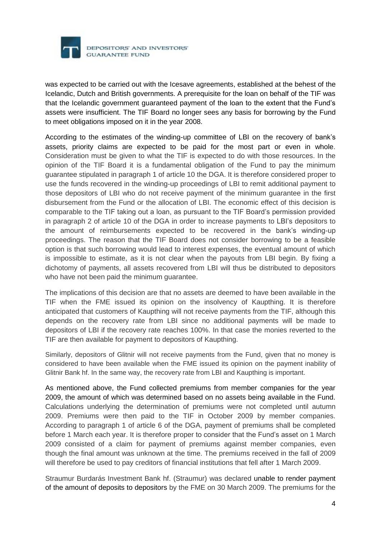

was expected to be carried out with the Icesave agreements, established at the behest of the Icelandic, Dutch and British governments. A prerequisite for the loan on behalf of the TIF was that the Icelandic government guaranteed payment of the loan to the extent that the Fund's assets were insufficient. The TIF Board no longer sees any basis for borrowing by the Fund to meet obligations imposed on it in the year 2008.

According to the estimates of the winding-up committee of LBI on the recovery of bank's assets, priority claims are expected to be paid for the most part or even in whole. Consideration must be given to what the TIF is expected to do with those resources. In the opinion of the TIF Board it is a fundamental obligation of the Fund to pay the minimum guarantee stipulated in paragraph 1 of article 10 the DGA. It is therefore considered proper to use the funds recovered in the winding-up proceedings of LBI to remit additional payment to those depositors of LBI who do not receive payment of the minimum guarantee in the first disbursement from the Fund or the allocation of LBI. The economic effect of this decision is comparable to the TIF taking out a loan, as pursuant to the TIF Board's permission provided in paragraph 2 of article 10 of the DGA in order to increase payments to LBI's depositors to the amount of reimbursements expected to be recovered in the bank's winding-up proceedings. The reason that the TIF Board does not consider borrowing to be a feasible option is that such borrowing would lead to interest expenses, the eventual amount of which is impossible to estimate, as it is not clear when the payouts from LBI begin. By fixing a dichotomy of payments, all assets recovered from LBI will thus be distributed to depositors who have not been paid the minimum quarantee.

The implications of this decision are that no assets are deemed to have been available in the TIF when the FME issued its opinion on the insolvency of Kaupthing. It is therefore anticipated that customers of Kaupthing will not receive payments from the TIF, although this depends on the recovery rate from LBI since no additional payments will be made to depositors of LBI if the recovery rate reaches 100%. In that case the monies reverted to the TIF are then available for payment to depositors of Kaupthing.

Similarly, depositors of Glitnir will not receive payments from the Fund, given that no money is considered to have been available when the FME issued its opinion on the payment inability of Glitnir Bank hf. In the same way, the recovery rate from LBI and Kaupthing is important.

As mentioned above, the Fund collected premiums from member companies for the year 2009, the amount of which was determined based on no assets being available in the Fund. Calculations underlying the determination of premiums were not completed until autumn 2009. Premiums were then paid to the TIF in October 2009 by member companies. According to paragraph 1 of article 6 of the DGA, payment of premiums shall be completed before 1 March each year. It is therefore proper to consider that the Fund's asset on 1 March 2009 consisted of a claim for payment of premiums against member companies, even though the final amount was unknown at the time. The premiums received in the fall of 2009 will therefore be used to pay creditors of financial institutions that fell after 1 March 2009.

Straumur Burdarás Investment Bank hf. (Straumur) was declared unable to render payment of the amount of deposits to depositors by the FME on 30 March 2009. The premiums for the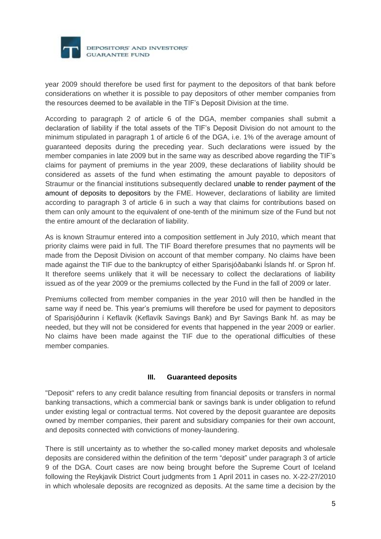

year 2009 should therefore be used first for payment to the depositors of that bank before considerations on whether it is possible to pay depositors of other member companies from the resources deemed to be available in the TIF's Deposit Division at the time.

According to paragraph 2 of article 6 of the DGA, member companies shall submit a declaration of liability if the total assets of the TIF's Deposit Division do not amount to the minimum stipulated in paragraph 1 of article 6 of the DGA, i.e. 1% of the average amount of guaranteed deposits during the preceding year. Such declarations were issued by the member companies in late 2009 but in the same way as described above regarding the TIF's claims for payment of premiums in the year 2009, these declarations of liability should be considered as assets of the fund when estimating the amount payable to depositors of Straumur or the financial institutions subsequently declared unable to render payment of the amount of deposits to depositors by the FME. However, declarations of liability are limited according to paragraph 3 of article 6 in such a way that claims for contributions based on them can only amount to the equivalent of one-tenth of the minimum size of the Fund but not the entire amount of the declaration of liability.

As is known Straumur entered into a composition settlement in July 2010, which meant that priority claims were paid in full. The TIF Board therefore presumes that no payments will be made from the Deposit Division on account of that member company. No claims have been made against the TIF due to the bankruptcy of either Sparisjóðabanki Íslands hf. or Spron hf. It therefore seems unlikely that it will be necessary to collect the declarations of liability issued as of the year 2009 or the premiums collected by the Fund in the fall of 2009 or later.

Premiums collected from member companies in the year 2010 will then be handled in the same way if need be. This year's premiums will therefore be used for payment to depositors of Sparisjóðurinn í Keflavík (Keflavík Savings Bank) and Byr Savings Bank hf. as may be needed, but they will not be considered for events that happened in the year 2009 or earlier. No claims have been made against the TIF due to the operational difficulties of these member companies.

#### **III. Guaranteed deposits**

"Deposit" refers to any credit balance resulting from financial deposits or transfers in normal banking transactions, which a commercial bank or savings bank is under obligation to refund under existing legal or contractual terms. Not covered by the deposit guarantee are deposits owned by member companies, their parent and subsidiary companies for their own account, and deposits connected with convictions of money-laundering.

There is still uncertainty as to whether the so-called money market deposits and wholesale deposits are considered within the definition of the term "deposit" under paragraph 3 of article 9 of the DGA. Court cases are now being brought before the Supreme Court of Iceland following the Reykjavik District Court judgments from 1 April 2011 in cases no. X-22-27/2010 in which wholesale deposits are recognized as deposits. At the same time a decision by the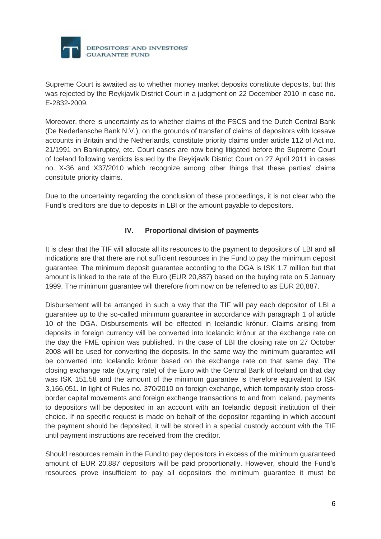

Supreme Court is awaited as to whether money market deposits constitute deposits, but this was rejected by the Reykjavík District Court in a judgment on 22 December 2010 in case no. E-2832-2009.

Moreover, there is uncertainty as to whether claims of the FSCS and the Dutch Central Bank (De Nederlansche Bank N.V.), on the grounds of transfer of claims of depositors with Icesave accounts in Britain and the Netherlands, constitute priority claims under article 112 of Act no. 21/1991 on Bankruptcy, etc. Court cases are now being litigated before the Supreme Court of Iceland following verdicts issued by the Reykjavík District Court on 27 April 2011 in cases no. X-36 and X37/2010 which recognize among other things that these parties' claims constitute priority claims.

Due to the uncertainty regarding the conclusion of these proceedings, it is not clear who the Fund's creditors are due to deposits in LBI or the amount payable to depositors.

# **IV. Proportional division of payments**

It is clear that the TIF will allocate all its resources to the payment to depositors of LBI and all indications are that there are not sufficient resources in the Fund to pay the minimum deposit guarantee. The minimum deposit guarantee according to the DGA is ISK 1.7 million but that amount is linked to the rate of the Euro (EUR 20,887) based on the buying rate on 5 January 1999. The minimum guarantee will therefore from now on be referred to as EUR 20,887.

Disbursement will be arranged in such a way that the TIF will pay each depositor of LBI a guarantee up to the so-called minimum guarantee in accordance with paragraph 1 of article 10 of the DGA. Disbursements will be effected in Icelandic krónur. Claims arising from deposits in foreign currency will be converted into Icelandic krónur at the exchange rate on the day the FME opinion was published. In the case of LBI the closing rate on 27 October 2008 will be used for converting the deposits. In the same way the minimum guarantee will be converted into Icelandic krónur based on the exchange rate on that same day. The closing exchange rate (buying rate) of the Euro with the Central Bank of Iceland on that day was ISK 151.58 and the amount of the minimum guarantee is therefore equivalent to ISK 3,166,051. In light of Rules no. 370/2010 on foreign exchange, which temporarily stop crossborder capital movements and foreign exchange transactions to and from Iceland, payments to depositors will be deposited in an account with an Icelandic deposit institution of their choice. If no specific request is made on behalf of the depositor regarding in which account the payment should be deposited, it will be stored in a special custody account with the TIF until payment instructions are received from the creditor.

Should resources remain in the Fund to pay depositors in excess of the minimum guaranteed amount of EUR 20,887 depositors will be paid proportionally. However, should the Fund's resources prove insufficient to pay all depositors the minimum guarantee it must be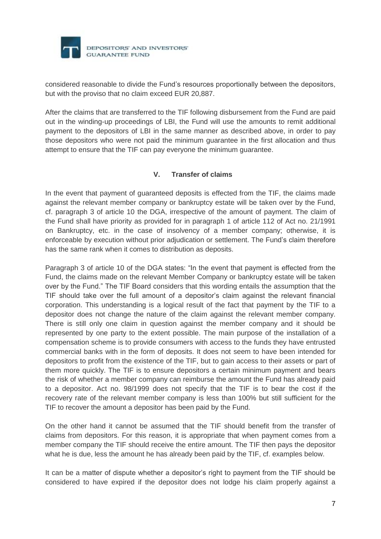

considered reasonable to divide the Fund's resources proportionally between the depositors, but with the proviso that no claim exceed EUR 20,887.

After the claims that are transferred to the TIF following disbursement from the Fund are paid out in the winding-up proceedings of LBI, the Fund will use the amounts to remit additional payment to the depositors of LBI in the same manner as described above, in order to pay those depositors who were not paid the minimum guarantee in the first allocation and thus attempt to ensure that the TIF can pay everyone the minimum guarantee.

## **V. Transfer of claims**

In the event that payment of guaranteed deposits is effected from the TIF, the claims made against the relevant member company or bankruptcy estate will be taken over by the Fund, cf. paragraph 3 of article 10 the DGA, irrespective of the amount of payment. The claim of the Fund shall have priority as provided for in paragraph 1 of article 112 of Act no. 21/1991 on Bankruptcy, etc. in the case of insolvency of a member company; otherwise, it is enforceable by execution without prior adjudication or settlement. The Fund's claim therefore has the same rank when it comes to distribution as deposits.

Paragraph 3 of article 10 of the DGA states: "In the event that payment is effected from the Fund, the claims made on the relevant Member Company or bankruptcy estate will be taken over by the Fund." The TIF Board considers that this wording entails the assumption that the TIF should take over the full amount of a depositor's claim against the relevant financial corporation. This understanding is a logical result of the fact that payment by the TIF to a depositor does not change the nature of the claim against the relevant member company. There is still only one claim in question against the member company and it should be represented by one party to the extent possible. The main purpose of the installation of a compensation scheme is to provide consumers with access to the funds they have entrusted commercial banks with in the form of deposits. It does not seem to have been intended for depositors to profit from the existence of the TIF, but to gain access to their assets or part of them more quickly. The TIF is to ensure depositors a certain minimum payment and bears the risk of whether a member company can reimburse the amount the Fund has already paid to a depositor. Act no. 98/1999 does not specify that the TIF is to bear the cost if the recovery rate of the relevant member company is less than 100% but still sufficient for the TIF to recover the amount a depositor has been paid by the Fund.

On the other hand it cannot be assumed that the TIF should benefit from the transfer of claims from depositors. For this reason, it is appropriate that when payment comes from a member company the TIF should receive the entire amount. The TIF then pays the depositor what he is due, less the amount he has already been paid by the TIF, cf. examples below.

It can be a matter of dispute whether a depositor's right to payment from the TIF should be considered to have expired if the depositor does not lodge his claim properly against a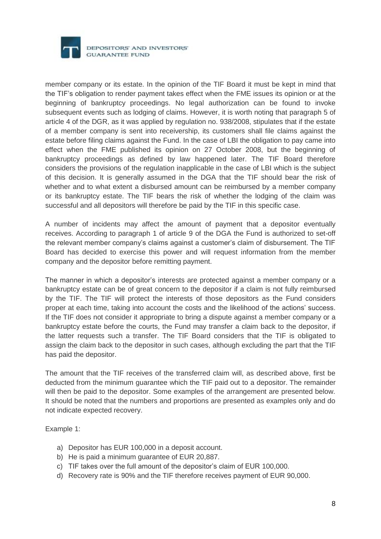

member company or its estate. In the opinion of the TIF Board it must be kept in mind that the TIF's obligation to render payment takes effect when the FME issues its opinion or at the beginning of bankruptcy proceedings. No legal authorization can be found to invoke subsequent events such as lodging of claims. However, it is worth noting that paragraph 5 of article 4 of the DGR, as it was applied by regulation no. 938/2008, stipulates that if the estate of a member company is sent into receivership, its customers shall file claims against the estate before filing claims against the Fund. In the case of LBI the obligation to pay came into effect when the FME published its opinion on 27 October 2008, but the beginning of bankruptcy proceedings as defined by law happened later. The TIF Board therefore considers the provisions of the regulation inapplicable in the case of LBI which is the subject of this decision. It is generally assumed in the DGA that the TIF should bear the risk of whether and to what extent a disbursed amount can be reimbursed by a member company or its bankruptcy estate. The TIF bears the risk of whether the lodging of the claim was successful and all depositors will therefore be paid by the TIF in this specific case.

A number of incidents may affect the amount of payment that a depositor eventually receives. According to paragraph 1 of article 9 of the DGA the Fund is authorized to set-off the relevant member company's claims against a customer's claim of disbursement. The TIF Board has decided to exercise this power and will request information from the member company and the depositor before remitting payment.

The manner in which a depositor's interests are protected against a member company or a bankruptcy estate can be of great concern to the depositor if a claim is not fully reimbursed by the TIF. The TIF will protect the interests of those depositors as the Fund considers proper at each time, taking into account the costs and the likelihood of the actions' success. If the TIF does not consider it appropriate to bring a dispute against a member company or a bankruptcy estate before the courts, the Fund may transfer a claim back to the depositor, if the latter requests such a transfer. The TIF Board considers that the TIF is obligated to assign the claim back to the depositor in such cases, although excluding the part that the TIF has paid the depositor.

The amount that the TIF receives of the transferred claim will, as described above, first be deducted from the minimum guarantee which the TIF paid out to a depositor. The remainder will then be paid to the depositor. Some examples of the arrangement are presented below. It should be noted that the numbers and proportions are presented as examples only and do not indicate expected recovery.

Example 1:

- a) Depositor has EUR 100,000 in a deposit account.
- b) He is paid a minimum guarantee of EUR 20,887.
- c) TIF takes over the full amount of the depositor's claim of EUR 100,000.
- d) Recovery rate is 90% and the TIF therefore receives payment of EUR 90,000.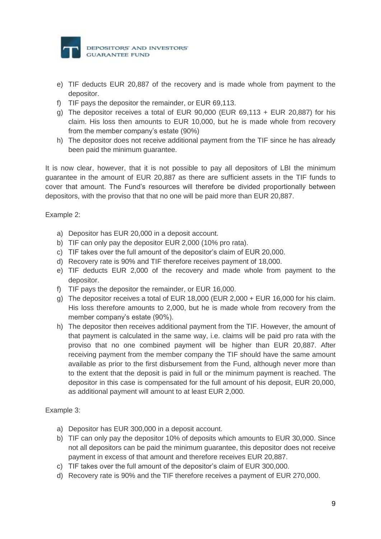

- e) TIF deducts EUR 20,887 of the recovery and is made whole from payment to the depositor.
- f) TIF pays the depositor the remainder, or EUR 69,113.
- g) The depositor receives a total of EUR  $90,000$  (EUR 69,113 + EUR 20,887) for his claim. His loss then amounts to EUR 10,000, but he is made whole from recovery from the member company's estate (90%)
- h) The depositor does not receive additional payment from the TIF since he has already been paid the minimum guarantee.

It is now clear, however, that it is not possible to pay all depositors of LBI the minimum guarantee in the amount of EUR 20,887 as there are sufficient assets in the TIF funds to cover that amount. The Fund's resources will therefore be divided proportionally between depositors, with the proviso that that no one will be paid more than EUR 20,887.

Example 2:

- a) Depositor has EUR 20,000 in a deposit account.
- b) TIF can only pay the depositor EUR 2,000 (10% pro rata).
- c) TIF takes over the full amount of the depositor's claim of EUR 20,000.
- d) Recovery rate is 90% and TIF therefore receives payment of 18,000.
- e) TIF deducts EUR 2,000 of the recovery and made whole from payment to the depositor.
- f) TIF pays the depositor the remainder, or EUR 16,000.
- g) The depositor receives a total of EUR 18,000 (EUR 2,000 + EUR 16,000 for his claim. His loss therefore amounts to 2,000, but he is made whole from recovery from the member company's estate (90%).
- h) The depositor then receives additional payment from the TIF. However, the amount of that payment is calculated in the same way, i.e. claims will be paid pro rata with the proviso that no one combined payment will be higher than EUR 20,887. After receiving payment from the member company the TIF should have the same amount available as prior to the first disbursement from the Fund, although never more than to the extent that the deposit is paid in full or the minimum payment is reached. The depositor in this case is compensated for the full amount of his deposit, EUR 20,000, as additional payment will amount to at least EUR 2,000.

#### Example 3:

- a) Depositor has EUR 300,000 in a deposit account.
- b) TIF can only pay the depositor 10% of deposits which amounts to EUR 30,000. Since not all depositors can be paid the minimum guarantee, this depositor does not receive payment in excess of that amount and therefore receives EUR 20,887.
- c) TIF takes over the full amount of the depositor's claim of EUR 300,000.
- d) Recovery rate is 90% and the TIF therefore receives a payment of EUR 270,000.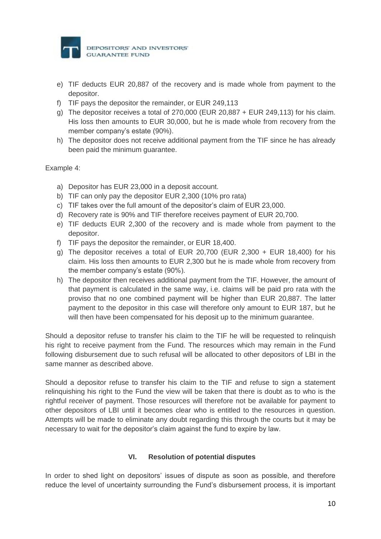

- e) TIF deducts EUR 20,887 of the recovery and is made whole from payment to the depositor.
- f) TIF pays the depositor the remainder, or EUR 249,113
- g) The depositor receives a total of 270,000 (EUR 20,887 + EUR 249,113) for his claim. His loss then amounts to EUR 30,000, but he is made whole from recovery from the member company's estate (90%).
- h) The depositor does not receive additional payment from the TIF since he has already been paid the minimum guarantee.

Example 4:

- a) Depositor has EUR 23,000 in a deposit account.
- b) TIF can only pay the depositor EUR 2,300 (10% pro rata)
- c) TIF takes over the full amount of the depositor's claim of EUR 23,000.
- d) Recovery rate is 90% and TIF therefore receives payment of EUR 20,700.
- e) TIF deducts EUR 2,300 of the recovery and is made whole from payment to the depositor.
- f) TIF pays the depositor the remainder, or EUR 18,400.
- g) The depositor receives a total of EUR 20,700 (EUR 2,300 + EUR 18,400) for his claim. His loss then amounts to EUR 2,300 but he is made whole from recovery from the member company's estate (90%).
- h) The depositor then receives additional payment from the TIF. However, the amount of that payment is calculated in the same way, i.e. claims will be paid pro rata with the proviso that no one combined payment will be higher than EUR 20,887. The latter payment to the depositor in this case will therefore only amount to EUR 187, but he will then have been compensated for his deposit up to the minimum guarantee.

Should a depositor refuse to transfer his claim to the TIF he will be requested to relinquish his right to receive payment from the Fund. The resources which may remain in the Fund following disbursement due to such refusal will be allocated to other depositors of LBI in the same manner as described above.

Should a depositor refuse to transfer his claim to the TIF and refuse to sign a statement relinquishing his right to the Fund the view will be taken that there is doubt as to who is the rightful receiver of payment. Those resources will therefore not be available for payment to other depositors of LBI until it becomes clear who is entitled to the resources in question. Attempts will be made to eliminate any doubt regarding this through the courts but it may be necessary to wait for the depositor's claim against the fund to expire by law.

# **VI. Resolution of potential disputes**

In order to shed light on depositors' issues of dispute as soon as possible, and therefore reduce the level of uncertainty surrounding the Fund's disbursement process, it is important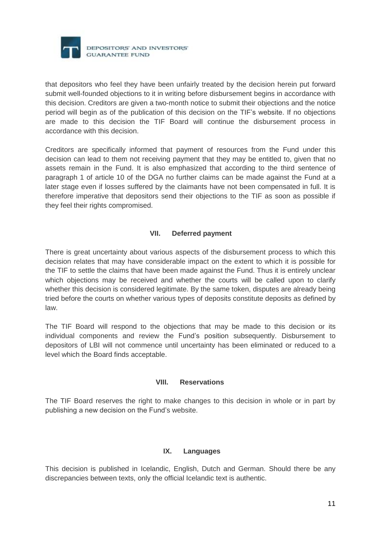

that depositors who feel they have been unfairly treated by the decision herein put forward submit well-founded objections to it in writing before disbursement begins in accordance with this decision. Creditors are given a two-month notice to submit their objections and the notice period will begin as of the publication of this decision on the TIF's website. If no objections are made to this decision the TIF Board will continue the disbursement process in accordance with this decision.

Creditors are specifically informed that payment of resources from the Fund under this decision can lead to them not receiving payment that they may be entitled to, given that no assets remain in the Fund. It is also emphasized that according to the third sentence of paragraph 1 of article 10 of the DGA no further claims can be made against the Fund at a later stage even if losses suffered by the claimants have not been compensated in full. It is therefore imperative that depositors send their objections to the TIF as soon as possible if they feel their rights compromised.

# **VII. Deferred payment**

There is great uncertainty about various aspects of the disbursement process to which this decision relates that may have considerable impact on the extent to which it is possible for the TIF to settle the claims that have been made against the Fund. Thus it is entirely unclear which objections may be received and whether the courts will be called upon to clarify whether this decision is considered legitimate. By the same token, disputes are already being tried before the courts on whether various types of deposits constitute deposits as defined by law.

The TIF Board will respond to the objections that may be made to this decision or its individual components and review the Fund's position subsequently. Disbursement to depositors of LBI will not commence until uncertainty has been eliminated or reduced to a level which the Board finds acceptable.

#### **VIII. Reservations**

The TIF Board reserves the right to make changes to this decision in whole or in part by publishing a new decision on the Fund's website.

#### **IX. Languages**

This decision is published in Icelandic, English, Dutch and German. Should there be any discrepancies between texts, only the official Icelandic text is authentic.